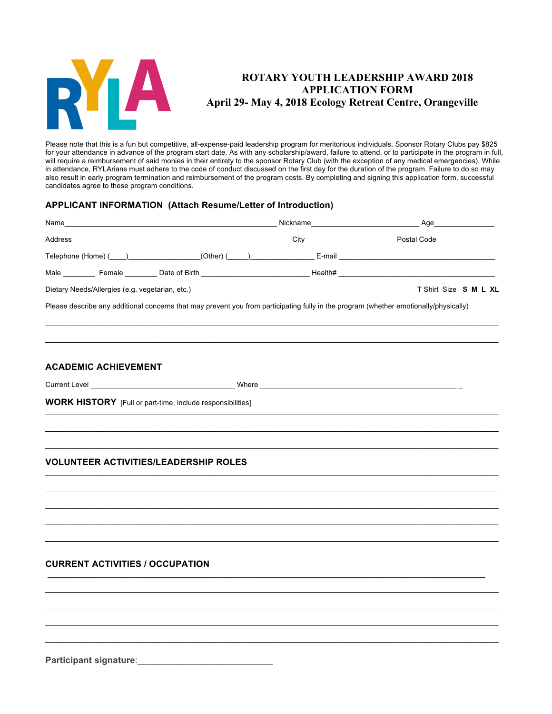

# **ROTARY YOUTH LEADERSHIP AWARD 2018 APPLICATION FORM April 29- May 4, 2018 Ecology Retreat Centre, Orangeville**

Please note that this is a fun but competitive, all-expense-paid leadership program for meritorious individuals. Sponsor Rotary Clubs pay \$825 for your attendance in advance of the program start date. As with any scholarship/award, failure to attend, or to participate in the program in full, will require a reimbursement of said monies in their entirety to the sponsor Rotary Club (with the exception of any medical emergencies). While in attendance, RYLArians must adhere to the code of conduct discussed on the first day for the duration of the program. Failure to do so may also result in early program termination and reimbursement of the program costs. By completing and signing this application form, successful candidates agree to these program conditions.

# **APPLICANT INFORMATION (Attach Resume/Letter of Introduction)**

|                                                                                                                                       | Nickname                                                                                                                                                                                                                             | Age                                                                                                                                                                                                                                  |
|---------------------------------------------------------------------------------------------------------------------------------------|--------------------------------------------------------------------------------------------------------------------------------------------------------------------------------------------------------------------------------------|--------------------------------------------------------------------------------------------------------------------------------------------------------------------------------------------------------------------------------------|
| Address                                                                                                                               | City <b>Communist Communist Communist Communist Communist Communist Communist Communist Communist Communist Communist Communist Communist Communist Communist Communist Communist Communist Communist Communist Communist Commun</b> | Postal Code <b>Communist Communist Communist Communist Communist Communist Communist Communist Communist Communist Communist Communist Communist Communist Communist Communist Communist Communist Communist Communist Communist</b> |
| Telephone (Home) (Call 2020) 2020 (Cther) (Call 2020) 2020 2021 2021 2022 2021 2022 2021 2022 2022 2022 2022 20                       |                                                                                                                                                                                                                                      |                                                                                                                                                                                                                                      |
| Male ___________ Female _________ Date of Birth ________________________________Health# ______________________                        |                                                                                                                                                                                                                                      |                                                                                                                                                                                                                                      |
|                                                                                                                                       |                                                                                                                                                                                                                                      | T Shirt Size S M L XL                                                                                                                                                                                                                |
| Please describe any additional concerns that may prevent you from participating fully in the program (whether emotionally/physically) |                                                                                                                                                                                                                                      |                                                                                                                                                                                                                                      |
|                                                                                                                                       |                                                                                                                                                                                                                                      |                                                                                                                                                                                                                                      |
|                                                                                                                                       |                                                                                                                                                                                                                                      |                                                                                                                                                                                                                                      |
|                                                                                                                                       |                                                                                                                                                                                                                                      |                                                                                                                                                                                                                                      |

 $\_$  , and the state of the state of the state of the state of the state of the state of the state of the state of the state of the state of the state of the state of the state of the state of the state of the state of the \_\_\_\_\_\_\_\_\_\_\_\_\_\_\_\_\_\_\_\_\_\_\_\_\_\_\_\_\_\_\_\_\_\_\_\_\_\_\_\_\_\_\_\_\_\_\_\_\_\_\_\_\_\_\_\_\_\_\_\_\_\_\_\_\_\_\_\_\_\_\_\_\_\_\_\_\_\_\_\_\_\_\_\_\_\_\_\_\_\_\_\_\_\_\_\_\_\_\_\_\_\_\_\_\_\_\_\_\_\_\_\_\_  $\_$  , and the state of the state of the state of the state of the state of the state of the state of the state of the state of the state of the state of the state of the state of the state of the state of the state of the

 $\_$  , and the state of the state of the state of the state of the state of the state of the state of the state of the state of the state of the state of the state of the state of the state of the state of the state of the \_\_\_\_\_\_\_\_\_\_\_\_\_\_\_\_\_\_\_\_\_\_\_\_\_\_\_\_\_\_\_\_\_\_\_\_\_\_\_\_\_\_\_\_\_\_\_\_\_\_\_\_\_\_\_\_\_\_\_\_\_\_\_\_\_\_\_\_\_\_\_\_\_\_\_\_\_\_\_\_\_\_\_\_\_\_\_\_\_\_\_\_\_\_\_\_\_\_\_\_\_\_\_\_\_\_\_\_\_\_\_\_\_ \_\_\_\_\_\_\_\_\_\_\_\_\_\_\_\_\_\_\_\_\_\_\_\_\_\_\_\_\_\_\_\_\_\_\_\_\_\_\_\_\_\_\_\_\_\_\_\_\_\_\_\_\_\_\_\_\_\_\_\_\_\_\_\_\_\_\_\_\_\_\_\_\_\_\_\_\_\_\_\_\_\_\_\_\_\_\_\_\_\_\_\_\_\_\_\_\_\_\_\_\_\_\_\_\_\_\_\_\_\_\_\_\_  $\bot$  , and the state of the state of the state of the state of the state of the state of the state of the state of the state of the state of the state of the state of the state of the state of the state of the state of th \_\_\_\_\_\_\_\_\_\_\_\_\_\_\_\_\_\_\_\_\_\_\_\_\_\_\_\_\_\_\_\_\_\_\_\_\_\_\_\_\_\_\_\_\_\_\_\_\_\_\_\_\_\_\_\_\_\_\_\_\_\_\_\_\_\_\_\_\_\_\_\_\_\_\_\_\_\_\_\_\_\_\_\_\_\_\_\_\_\_\_\_\_\_\_\_\_\_\_\_\_\_\_\_\_\_\_\_\_\_\_\_\_

**\_\_\_\_\_\_\_\_\_\_\_\_\_\_\_\_\_\_\_\_\_\_\_\_\_\_\_\_\_\_\_\_\_\_\_\_\_\_\_\_\_\_\_\_\_\_\_\_\_\_\_\_\_\_\_\_\_\_\_\_\_\_\_\_\_\_\_\_\_\_\_\_\_\_\_\_\_\_\_\_\_\_\_\_\_\_\_\_\_\_\_\_\_\_\_\_\_**  $\_$  , and the state of the state of the state of the state of the state of the state of the state of the state of the state of the state of the state of the state of the state of the state of the state of the state of the \_\_\_\_\_\_\_\_\_\_\_\_\_\_\_\_\_\_\_\_\_\_\_\_\_\_\_\_\_\_\_\_\_\_\_\_\_\_\_\_\_\_\_\_\_\_\_\_\_\_\_\_\_\_\_\_\_\_\_\_\_\_\_\_\_\_\_\_\_\_\_\_\_\_\_\_\_\_\_\_\_\_\_\_\_\_\_\_\_\_\_\_\_\_\_\_\_\_\_\_\_\_\_\_\_\_\_\_\_\_\_\_\_  $\_$  , and the state of the state of the state of the state of the state of the state of the state of the state of the state of the state of the state of the state of the state of the state of the state of the state of the  $\_$  , and the state of the state of the state of the state of the state of the state of the state of the state of the state of the state of the state of the state of the state of the state of the state of the state of the

#### **ACADEMIC ACHIEVEMENT**

Current Level \_\_\_\_\_\_\_\_\_\_\_\_\_\_\_\_\_\_\_\_\_\_\_\_\_\_\_\_\_\_\_\_\_\_\_\_ Where \_\_\_\_\_\_\_\_\_\_\_\_\_\_\_\_\_\_\_\_\_\_\_\_\_\_\_\_\_\_\_\_\_\_\_\_\_\_\_\_\_\_\_\_\_\_\_\_\_ \_

**WORK HISTORY** [Full or part-time, include responsibilities]

## **VOLUNTEER ACTIVITIES/LEADERSHIP ROLES**

## **CURRENT ACTIVITIES / OCCUPATION**

**Participant signature**:\_\_\_\_\_\_\_\_\_\_\_\_\_\_\_\_\_\_\_\_\_\_\_\_\_\_\_